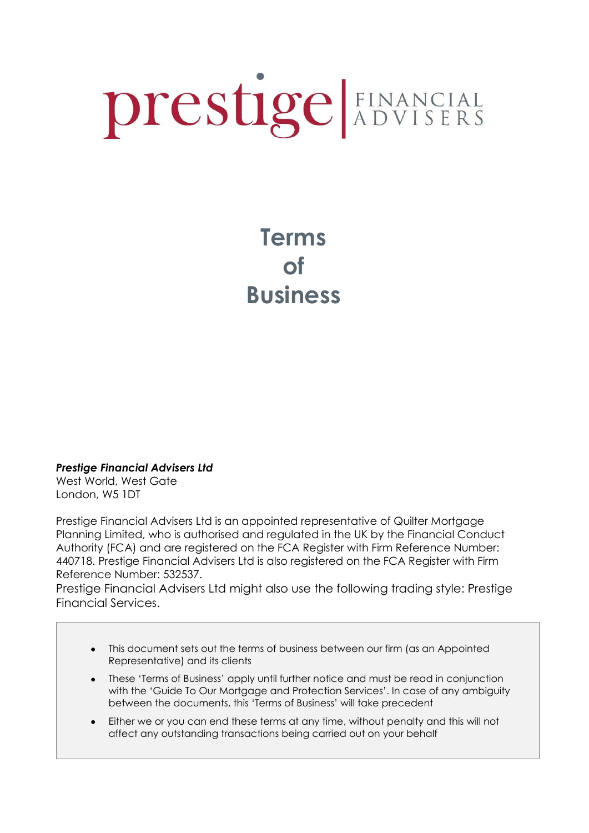# prestige EINANCIAL

# **Terms of Business**

*Prestige Financial Advisers Ltd* 

West World, West Gate London, W5 1DT

Prestige Financial Advisers Ltd is an appointed representative of Quilter Mortgage Planning Limited, who is authorised and regulated in the UK by the Financial Conduct Authority (FCA) and are registered on the FCA Register with Firm Reference Number: 440718. Prestige Financial Advisers Ltd is also registered on the FCA Register with Firm Reference Number: 532537.

Prestige Financial Advisers Ltd might also use the following trading style: Prestige Financial Services.

- This document sets out the terms of business between our firm (as an Appointed Representative) and its clients
- These 'Terms of Business' apply until further notice and must be read in conjunction with the 'Guide To Our Mortgage and Protection Services'. In case of any ambiguity between the documents, this 'Terms of Business' will take precedent
- Either we or you can end these terms at any time, without penalty and this will not affect any outstanding transactions being carried out on your behalf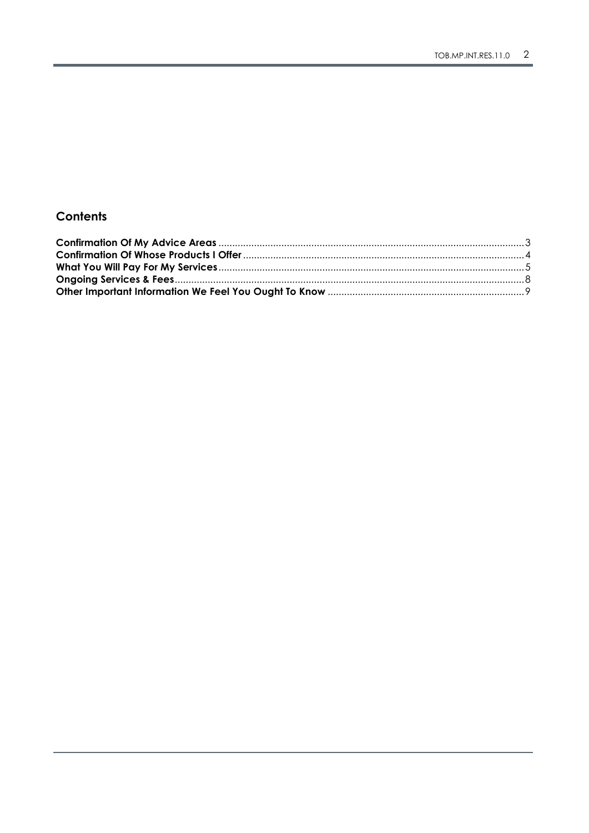#### Contents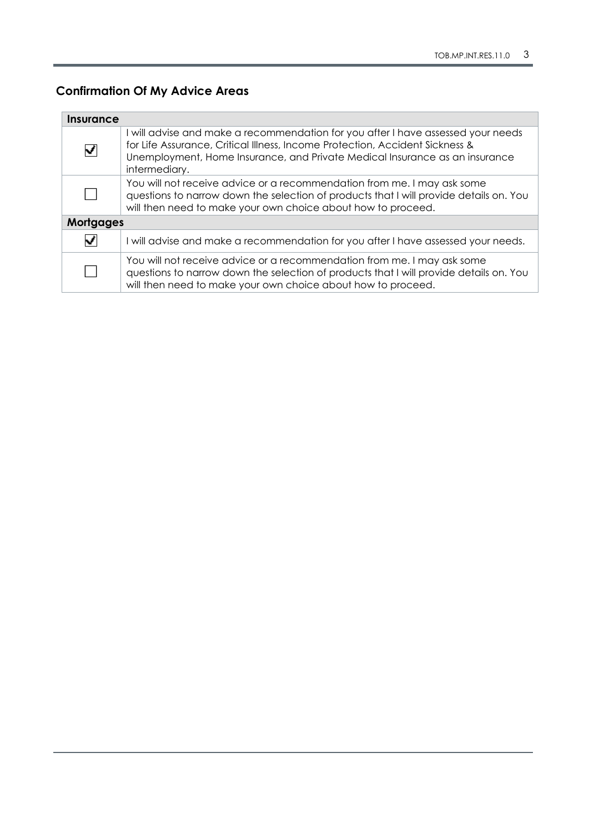## <span id="page-2-0"></span>**Confirmation Of My Advice Areas**

| Insurance        |                                                                                                                                                                                                                                                                  |  |
|------------------|------------------------------------------------------------------------------------------------------------------------------------------------------------------------------------------------------------------------------------------------------------------|--|
|                  | I will advise and make a recommendation for you after I have assessed your needs<br>for Life Assurance, Critical Illness, Income Protection, Accident Sickness &<br>Unemployment, Home Insurance, and Private Medical Insurance as an insurance<br>intermediary. |  |
|                  | You will not receive advice or a recommendation from me. I may ask some<br>questions to narrow down the selection of products that I will provide details on. You<br>will then need to make your own choice about how to proceed.                                |  |
| <b>Mortgages</b> |                                                                                                                                                                                                                                                                  |  |
| ✓                | I will advise and make a recommendation for you after I have assessed your needs.                                                                                                                                                                                |  |
|                  | You will not receive advice or a recommendation from me. I may ask some<br>questions to narrow down the selection of products that I will provide details on. You<br>will then need to make your own choice about how to proceed.                                |  |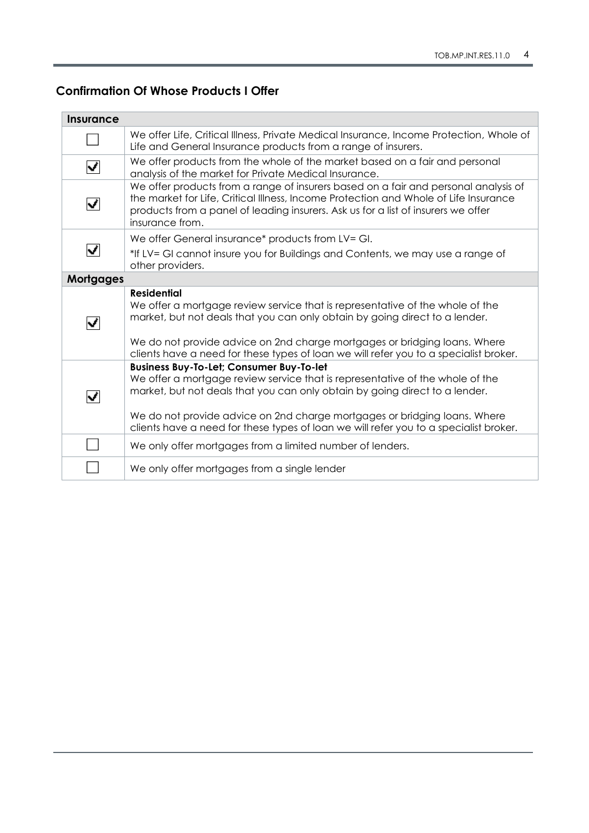#### <span id="page-3-0"></span>**Confirmation Of Whose Products I Offer**

| <b>Insurance</b>         |                                                                                                                                                                                                                                                                                                                                                                                       |
|--------------------------|---------------------------------------------------------------------------------------------------------------------------------------------------------------------------------------------------------------------------------------------------------------------------------------------------------------------------------------------------------------------------------------|
|                          | We offer Life, Critical Illness, Private Medical Insurance, Income Protection, Whole of<br>Life and General Insurance products from a range of insurers.                                                                                                                                                                                                                              |
| $\blacktriangledown$     | We offer products from the whole of the market based on a fair and personal<br>analysis of the market for Private Medical Insurance.                                                                                                                                                                                                                                                  |
| $\overline{\phantom{a}}$ | We offer products from a range of insurers based on a fair and personal analysis of<br>the market for Life, Critical Illness, Income Protection and Whole of Life Insurance<br>products from a panel of leading insurers. Ask us for a list of insurers we offer<br>insurance from.                                                                                                   |
|                          | We offer General insurance* products from LV= GI.                                                                                                                                                                                                                                                                                                                                     |
| $\overline{\phantom{a}}$ | *If LV= GI cannot insure you for Buildings and Contents, we may use a range of<br>other providers.                                                                                                                                                                                                                                                                                    |
| <b>Mortgages</b>         |                                                                                                                                                                                                                                                                                                                                                                                       |
| $\blacktriangledown$     | <b>Residential</b><br>We offer a mortgage review service that is representative of the whole of the<br>market, but not deals that you can only obtain by going direct to a lender.<br>We do not provide advice on 2nd charge mortgages or bridging loans. Where<br>clients have a need for these types of loan we will refer you to a specialist broker.                              |
| $\overline{\phantom{a}}$ | <b>Business Buy-To-Let; Consumer Buy-To-let</b><br>We offer a mortgage review service that is representative of the whole of the<br>market, but not deals that you can only obtain by going direct to a lender.<br>We do not provide advice on 2nd charge mortgages or bridging loans. Where<br>clients have a need for these types of loan we will refer you to a specialist broker. |
|                          | We only offer mortgages from a limited number of lenders.                                                                                                                                                                                                                                                                                                                             |
|                          | We only offer mortgages from a single lender                                                                                                                                                                                                                                                                                                                                          |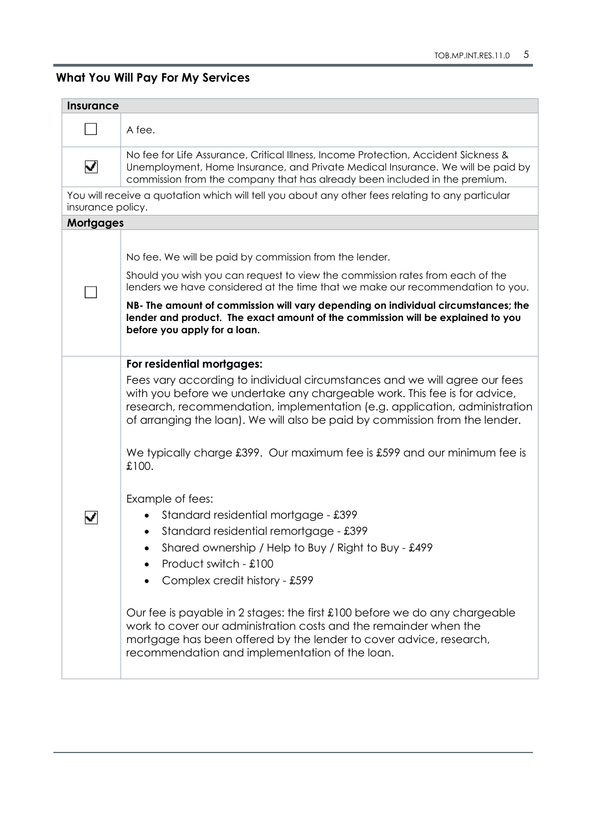### <span id="page-4-0"></span>**What You Will Pay For My Services**

| <b>Insurance</b>      |                                                                                                                                                                                                                                                                                                                                                                                                                                                                                                                                                                                                                                                                                                                                                                                                                                                                                                                                                                                   |  |  |
|-----------------------|-----------------------------------------------------------------------------------------------------------------------------------------------------------------------------------------------------------------------------------------------------------------------------------------------------------------------------------------------------------------------------------------------------------------------------------------------------------------------------------------------------------------------------------------------------------------------------------------------------------------------------------------------------------------------------------------------------------------------------------------------------------------------------------------------------------------------------------------------------------------------------------------------------------------------------------------------------------------------------------|--|--|
|                       | A fee.                                                                                                                                                                                                                                                                                                                                                                                                                                                                                                                                                                                                                                                                                                                                                                                                                                                                                                                                                                            |  |  |
| $\blacktriangledown$  | No fee for Life Assurance, Critical Illness, Income Protection, Accident Sickness &<br>Unemployment, Home Insurance, and Private Medical Insurance. We will be paid by<br>commission from the company that has already been included in the premium.                                                                                                                                                                                                                                                                                                                                                                                                                                                                                                                                                                                                                                                                                                                              |  |  |
| insurance policy.     | You will receive a quotation which will tell you about any other fees relating to any particular                                                                                                                                                                                                                                                                                                                                                                                                                                                                                                                                                                                                                                                                                                                                                                                                                                                                                  |  |  |
| <b>Mortgages</b>      |                                                                                                                                                                                                                                                                                                                                                                                                                                                                                                                                                                                                                                                                                                                                                                                                                                                                                                                                                                                   |  |  |
|                       | No fee. We will be paid by commission from the lender.<br>Should you wish you can request to view the commission rates from each of the<br>lenders we have considered at the time that we make our recommendation to you.<br>NB- The amount of commission will vary depending on individual circumstances; the<br>lender and product. The exact amount of the commission will be explained to you<br>before you apply for a loan.                                                                                                                                                                                                                                                                                                                                                                                                                                                                                                                                                 |  |  |
| $\blacktriangleright$ | For residential mortgages:<br>Fees vary according to individual circumstances and we will agree our fees<br>with you before we undertake any chargeable work. This fee is for advice,<br>research, recommendation, implementation (e.g. application, administration<br>of arranging the loan). We will also be paid by commission from the lender.<br>We typically charge £399. Our maximum fee is £599 and our minimum fee is<br>£100.<br>Example of fees:<br>Standard residential mortgage - £399<br>Standard residential remortgage - £399<br>$\bullet$<br>Shared ownership / Help to Buy / Right to Buy - £499<br>$\bullet$<br>Product switch - £100<br>Complex credit history - £599<br>$\bullet$<br>Our fee is payable in 2 stages: the first £100 before we do any chargeable<br>work to cover our administration costs and the remainder when the<br>mortgage has been offered by the lender to cover advice, research,<br>recommendation and implementation of the loan. |  |  |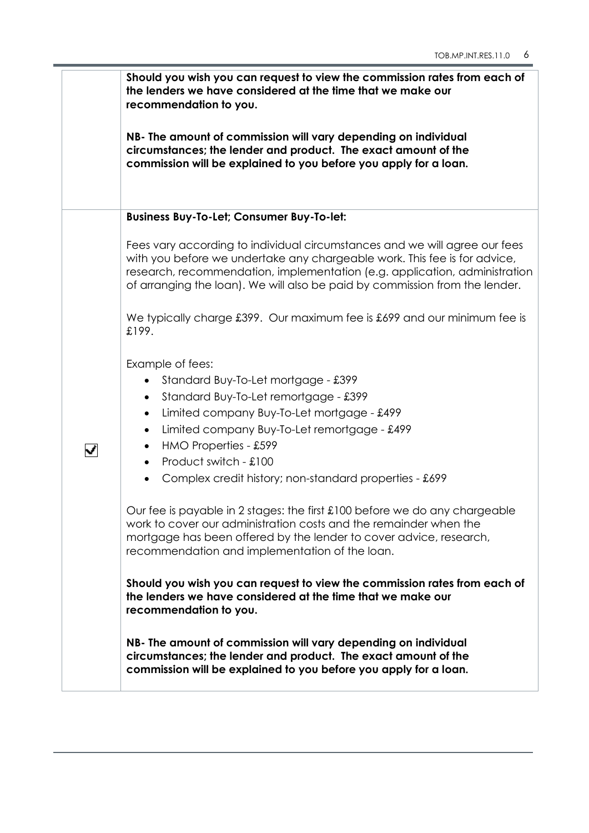|                      |                                                                                                                                                                                                                                                                                                                                                                                                                                                                                                                                                                                                                                                                                                                                                                                       | Should you wish you can request to view the commission rates from each of<br>the lenders we have considered at the time that we make our<br>recommendation to you.                                                                                                                                                   |
|----------------------|---------------------------------------------------------------------------------------------------------------------------------------------------------------------------------------------------------------------------------------------------------------------------------------------------------------------------------------------------------------------------------------------------------------------------------------------------------------------------------------------------------------------------------------------------------------------------------------------------------------------------------------------------------------------------------------------------------------------------------------------------------------------------------------|----------------------------------------------------------------------------------------------------------------------------------------------------------------------------------------------------------------------------------------------------------------------------------------------------------------------|
|                      |                                                                                                                                                                                                                                                                                                                                                                                                                                                                                                                                                                                                                                                                                                                                                                                       | NB- The amount of commission will vary depending on individual<br>circumstances; the lender and product. The exact amount of the<br>commission will be explained to you before you apply for a loan.                                                                                                                 |
|                      |                                                                                                                                                                                                                                                                                                                                                                                                                                                                                                                                                                                                                                                                                                                                                                                       | <b>Business Buy-To-Let; Consumer Buy-To-let:</b>                                                                                                                                                                                                                                                                     |
|                      |                                                                                                                                                                                                                                                                                                                                                                                                                                                                                                                                                                                                                                                                                                                                                                                       | Fees vary according to individual circumstances and we will agree our fees<br>with you before we undertake any chargeable work. This fee is for advice,<br>research, recommendation, implementation (e.g. application, administration<br>of arranging the loan). We will also be paid by commission from the lender. |
|                      |                                                                                                                                                                                                                                                                                                                                                                                                                                                                                                                                                                                                                                                                                                                                                                                       | We typically charge £399. Our maximum fee is £699 and our minimum fee is<br>£199.                                                                                                                                                                                                                                    |
| $\blacktriangledown$ | Example of fees:<br>Standard Buy-To-Let mortgage - £399<br>Standard Buy-To-Let remortgage - £399<br>$\bullet$<br>Limited company Buy-To-Let mortgage - £499<br>$\bullet$<br>Limited company Buy-To-Let remortgage - £499<br>HMO Properties - £599<br>Product switch - £100<br>Complex credit history; non-standard properties - £699<br>Our fee is payable in 2 stages: the first £100 before we do any chargeable<br>work to cover our administration costs and the remainder when the<br>mortgage has been offered by the lender to cover advice, research,<br>recommendation and implementation of the loan.<br>Should you wish you can request to view the commission rates from each of<br>the lenders we have considered at the time that we make our<br>recommendation to you. |                                                                                                                                                                                                                                                                                                                      |
|                      |                                                                                                                                                                                                                                                                                                                                                                                                                                                                                                                                                                                                                                                                                                                                                                                       | NB- The amount of commission will vary depending on individual<br>circumstances; the lender and product. The exact amount of the<br>commission will be explained to you before you apply for a loan.                                                                                                                 |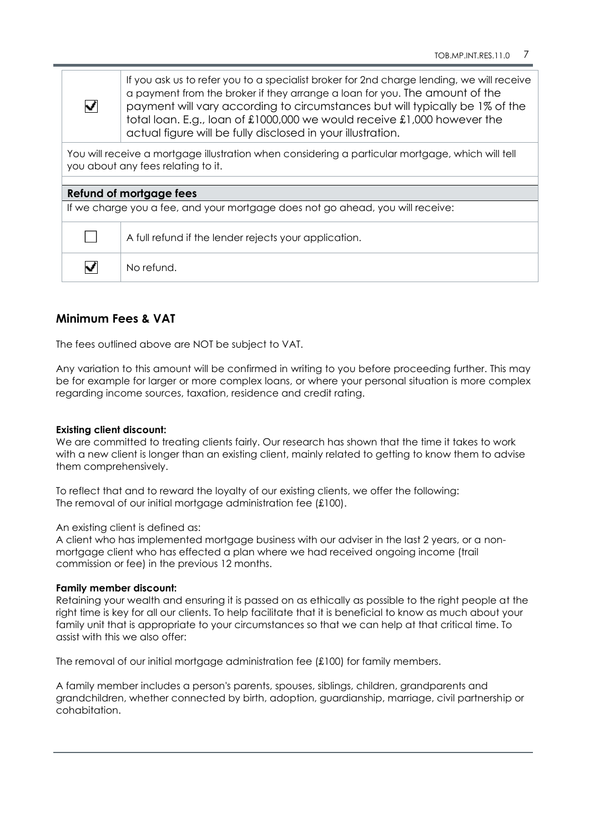If you ask us to refer you to a specialist broker for 2nd charge lending, we will receive a payment from the broker if they arrange a loan for you. The amount of the payment will vary according to circumstances but will typically be 1% of the total loan. E.g., loan of £1000,000 we would receive £1,000 however the actual figure will be fully disclosed in your illustration.

You will receive a mortgage illustration when considering a particular mortgage, which will tell you about any fees relating to it.

#### **Refund of mortgage fees**

 $\overline{\mathbf{v}}$ 

If we charge you a fee, and your mortgage does not go ahead, you will receive:

|                          | A full refund if the lender rejects your application. |  |
|--------------------------|-------------------------------------------------------|--|
| $\overline{\phantom{a}}$ | No refund.                                            |  |

#### **Minimum Fees & VAT**

The fees outlined above are NOT be subject to VAT.

Any variation to this amount will be confirmed in writing to you before proceeding further. This may be for example for larger or more complex loans, or where your personal situation is more complex regarding income sources, taxation, residence and credit rating.

#### **Existing client discount:**

We are committed to treating clients fairly. Our research has shown that the time it takes to work with a new client is longer than an existing client, mainly related to getting to know them to advise them comprehensively.

To reflect that and to reward the loyalty of our existing clients, we offer the following: The removal of our initial mortgage administration fee (£100).

#### An existing client is defined as:

A client who has implemented mortgage business with our adviser in the last 2 years, or a nonmortgage client who has effected a plan where we had received ongoing income (trail commission or fee) in the previous 12 months.

#### **Family member discount:**

Retaining your wealth and ensuring it is passed on as ethically as possible to the right people at the right time is key for all our clients. To help facilitate that it is beneficial to know as much about your family unit that is appropriate to your circumstances so that we can help at that critical time. To assist with this we also offer:

The removal of our initial mortgage administration fee (£100) for family members.

A family member includes a person's parents, spouses, siblings, children, grandparents and grandchildren, whether connected by birth, adoption, guardianship, marriage, civil partnership or cohabitation.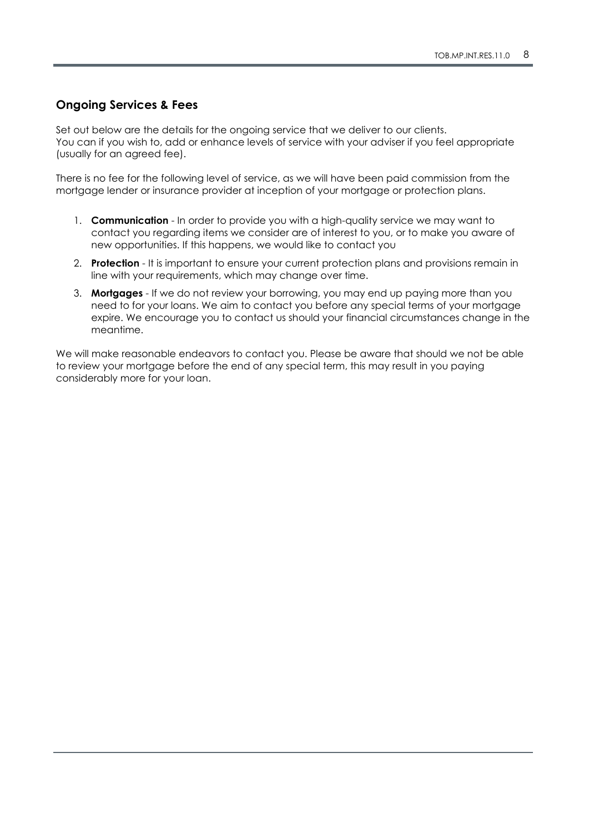#### <span id="page-7-0"></span>**Ongoing Services & Fees**

Set out below are the details for the ongoing service that we deliver to our clients. You can if you wish to, add or enhance levels of service with your adviser if you feel appropriate (usually for an agreed fee).

There is no fee for the following level of service, as we will have been paid commission from the mortgage lender or insurance provider at inception of your mortgage or protection plans.

- 1. **Communication** In order to provide you with a high-quality service we may want to contact you regarding items we consider are of interest to you, or to make you aware of new opportunities. If this happens, we would like to contact you
- 2. **Protection** It is important to ensure your current protection plans and provisions remain in line with your requirements, which may change over time.
- 3. **Mortgages** If we do not review your borrowing, you may end up paying more than you need to for your loans. We aim to contact you before any special terms of your mortgage expire. We encourage you to contact us should your financial circumstances change in the meantime.

We will make reasonable endeavors to contact you. Please be aware that should we not be able to review your mortgage before the end of any special term, this may result in you paying considerably more for your loan.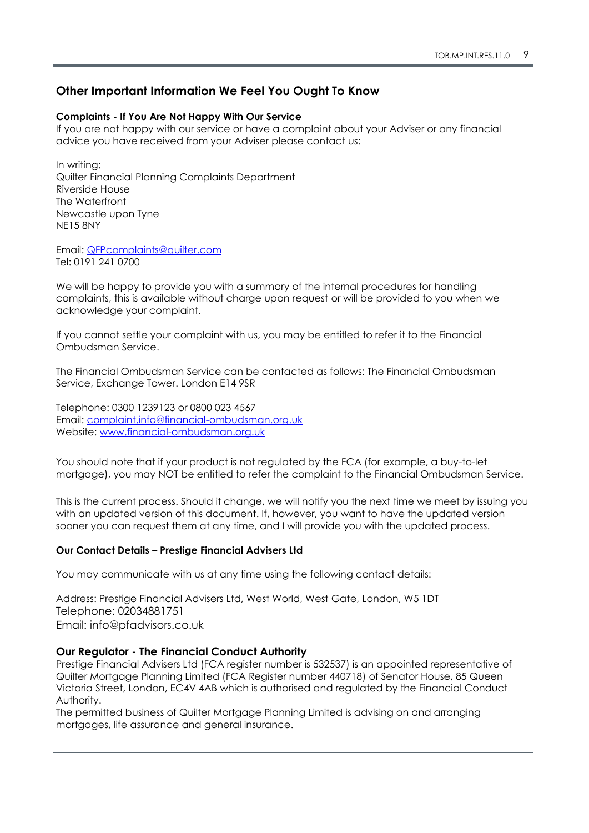#### <span id="page-8-0"></span>**Other Important Information We Feel You Ought To Know**

#### **Complaints - If You Are Not Happy With Our Service**

If you are not happy with our service or have a complaint about your Adviser or any financial advice you have received from your Adviser please contact us:

In writing: Quilter Financial Planning Complaints Department Riverside House The Waterfront Newcastle upon Tyne NE15 8NY

Email: [QFPcomplaints@quilter.com](mailto:QFPcomplaints@quilter.com) Tel: 0191 241 0700

We will be happy to provide you with a summary of the internal procedures for handling complaints, this is available without charge upon request or will be provided to you when we acknowledge your complaint.

If you cannot settle your complaint with us, you may be entitled to refer it to the Financial Ombudsman Service.

The Financial Ombudsman Service can be contacted as follows: The Financial Ombudsman Service, Exchange Tower. London E14 9SR

Telephone: 0300 1239123 or 0800 023 4567 Email: [complaint.info@financial-ombudsman.org.uk](mailto:complaint.info@financial-ombudsman.org.uk) Website: [www.financial-ombudsman.org.uk](http://www.financial-ombudsman.org.uk/)

You should note that if your product is not regulated by the FCA (for example, a buy-to-let mortgage), you may NOT be entitled to refer the complaint to the Financial Ombudsman Service.

This is the current process. Should it change, we will notify you the next time we meet by issuing you with an updated version of this document. If, however, you want to have the updated version sooner you can request them at any time, and I will provide you with the updated process.

#### **Our Contact Details – Prestige Financial Advisers Ltd**

You may communicate with us at any time using the following contact details:

Address: Prestige Financial Advisers Ltd, West World, West Gate, London, W5 1DT Telephone: 02034881751 Email: info@pfadvisors.co.uk

#### **Our Regulator - The Financial Conduct Authority**

Prestige Financial Advisers Ltd (FCA register number is 532537) is an appointed representative of Quilter Mortgage Planning Limited (FCA Register number 440718) of Senator House, 85 Queen Victoria Street, London, EC4V 4AB which is authorised and regulated by the Financial Conduct Authority.

The permitted business of Quilter Mortgage Planning Limited is advising on and arranging mortgages, life assurance and general insurance.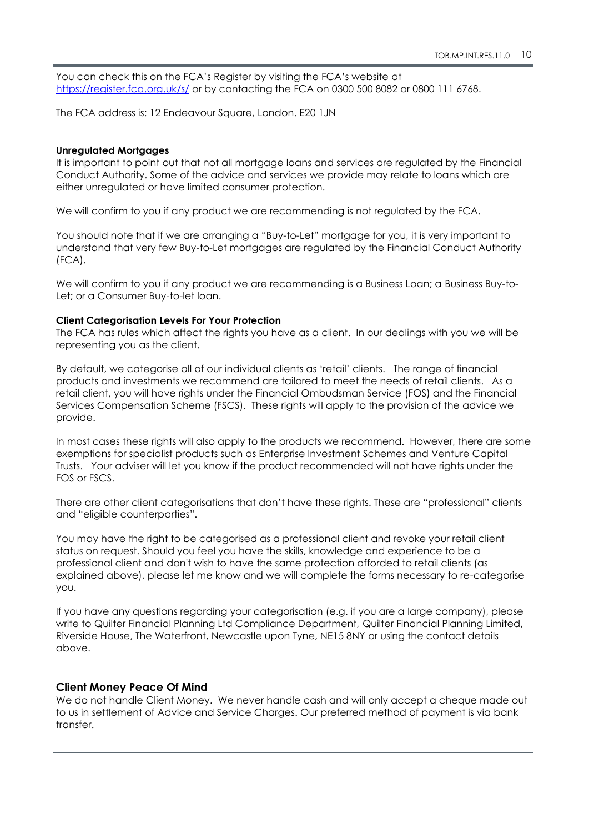You can check this on the FCA's Register by visiting the FCA's website at <https://register.fca.org.uk/s/> or by contacting the FCA on 0300 500 8082 or 0800 111 6768.

The FCA address is: 12 Endeavour Square, London. E20 1JN

#### **Unregulated Mortgages**

It is important to point out that not all mortgage loans and services are regulated by the Financial Conduct Authority. Some of the advice and services we provide may relate to loans which are either unregulated or have limited consumer protection.

We will confirm to you if any product we are recommending is not regulated by the FCA.

You should note that if we are arranging a "Buy-to-Let" mortgage for you, it is very important to understand that very few Buy-to-Let mortgages are regulated by the Financial Conduct Authority (FCA).

We will confirm to you if any product we are recommending is a Business Loan; a Business Buy-to-Let; or a Consumer Buy-to-let loan.

#### **Client Categorisation Levels For Your Protection**

The FCA has rules which affect the rights you have as a client. In our dealings with you we will be representing you as the client.

By default, we categorise all of our individual clients as 'retail' clients. The range of financial products and investments we recommend are tailored to meet the needs of retail clients. As a retail client, you will have rights under the Financial Ombudsman Service (FOS) and the Financial Services Compensation Scheme (FSCS). These rights will apply to the provision of the advice we provide.

In most cases these rights will also apply to the products we recommend. However, there are some exemptions for specialist products such as Enterprise Investment Schemes and Venture Capital Trusts. Your adviser will let you know if the product recommended will not have rights under the FOS or FSCS.

There are other client categorisations that don't have these rights. These are "professional" clients and "eligible counterparties".

You may have the right to be categorised as a professional client and revoke your retail client status on request. Should you feel you have the skills, knowledge and experience to be a professional client and don't wish to have the same protection afforded to retail clients (as explained above), please let me know and we will complete the forms necessary to re-categorise you.

If you have any questions regarding your categorisation (e.g. if you are a large company), please write to Quilter Financial Planning Ltd Compliance Department, Quilter Financial Planning Limited, Riverside House, The Waterfront, Newcastle upon Tyne, NE15 8NY or using the contact details above.

#### **Client Money Peace Of Mind**

We do not handle Client Money. We never handle cash and will only accept a cheque made out to us in settlement of Advice and Service Charges. Our preferred method of payment is via bank transfer.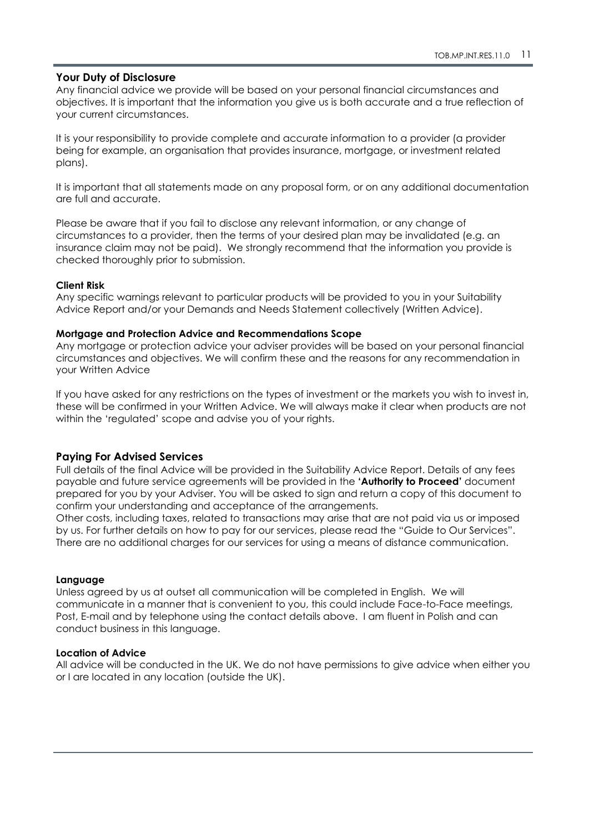#### **Your Duty of Disclosure**

Any financial advice we provide will be based on your personal financial circumstances and objectives. It is important that the information you give us is both accurate and a true reflection of your current circumstances.

It is your responsibility to provide complete and accurate information to a provider (a provider being for example, an organisation that provides insurance, mortgage, or investment related plans).

It is important that all statements made on any proposal form, or on any additional documentation are full and accurate.

Please be aware that if you fail to disclose any relevant information, or any change of circumstances to a provider, then the terms of your desired plan may be invalidated (e.g. an insurance claim may not be paid). We strongly recommend that the information you provide is checked thoroughly prior to submission.

#### **Client Risk**

Any specific warnings relevant to particular products will be provided to you in your Suitability Advice Report and/or your Demands and Needs Statement collectively (Written Advice).

#### **Mortgage and Protection Advice and Recommendations Scope**

Any mortgage or protection advice your adviser provides will be based on your personal financial circumstances and objectives. We will confirm these and the reasons for any recommendation in your Written Advice

If you have asked for any restrictions on the types of investment or the markets you wish to invest in, these will be confirmed in your Written Advice. We will always make it clear when products are not within the 'regulated' scope and advise you of your rights.

#### **Paying For Advised Services**

Full details of the final Advice will be provided in the Suitability Advice Report. Details of any fees payable and future service agreements will be provided in the **'Authority to Proceed'** document prepared for you by your Adviser. You will be asked to sign and return a copy of this document to confirm your understanding and acceptance of the arrangements.

Other costs, including taxes, related to transactions may arise that are not paid via us or imposed by us. For further details on how to pay for our services, please read the "Guide to Our Services". There are no additional charges for our services for using a means of distance communication.

#### **Language**

Unless agreed by us at outset all communication will be completed in English. We will communicate in a manner that is convenient to you, this could include Face-to-Face meetings, Post, E-mail and by telephone using the contact details above. I am fluent in Polish and can conduct business in this language.

#### **Location of Advice**

All advice will be conducted in the UK. We do not have permissions to give advice when either you or I are located in any location (outside the UK).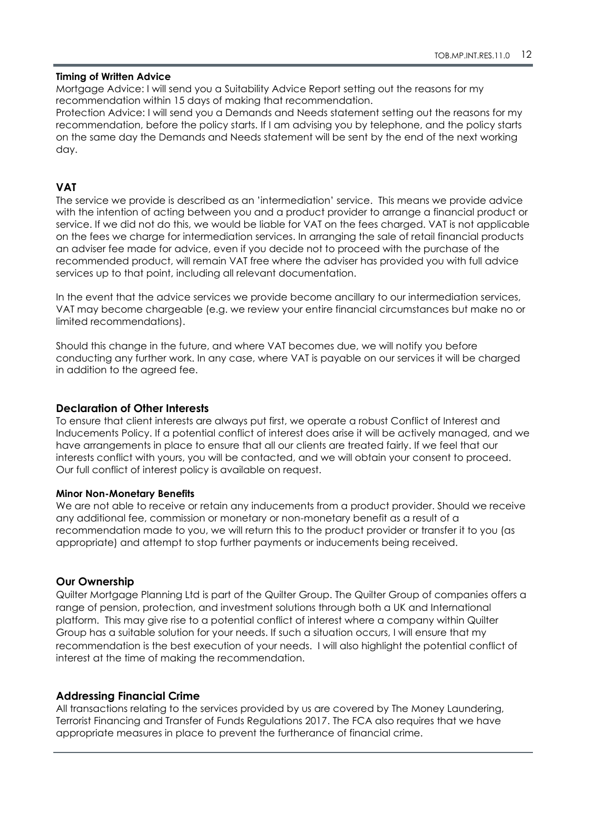#### **Timing of Written Advice**

Mortgage Advice: I will send you a Suitability Advice Report setting out the reasons for my recommendation within 15 days of making that recommendation.

Protection Advice: I will send you a Demands and Needs statement setting out the reasons for my recommendation, before the policy starts. If I am advising you by telephone, and the policy starts on the same day the Demands and Needs statement will be sent by the end of the next working day.

#### **VAT**

The service we provide is described as an 'intermediation' service. This means we provide advice with the intention of acting between you and a product provider to arrange a financial product or service. If we did not do this, we would be liable for VAT on the fees charged. VAT is not applicable on the fees we charge for intermediation services. In arranging the sale of retail financial products an adviser fee made for advice, even if you decide not to proceed with the purchase of the recommended product, will remain VAT free where the adviser has provided you with full advice services up to that point, including all relevant documentation.

In the event that the advice services we provide become ancillary to our intermediation services, VAT may become chargeable (e.g. we review your entire financial circumstances but make no or limited recommendations).

Should this change in the future, and where VAT becomes due, we will notify you before conducting any further work. In any case, where VAT is payable on our services it will be charged in addition to the agreed fee.

#### **Declaration of Other Interests**

To ensure that client interests are always put first, we operate a robust Conflict of Interest and Inducements Policy. If a potential conflict of interest does arise it will be actively managed, and we have arrangements in place to ensure that all our clients are treated fairly. If we feel that our interests conflict with yours, you will be contacted, and we will obtain your consent to proceed. Our full conflict of interest policy is available on request.

#### **Minor Non-Monetary Benefits**

We are not able to receive or retain any inducements from a product provider. Should we receive any additional fee, commission or monetary or non-monetary benefit as a result of a recommendation made to you, we will return this to the product provider or transfer it to you (as appropriate) and attempt to stop further payments or inducements being received.

#### **Our Ownership**

Quilter Mortgage Planning Ltd is part of the Quilter Group. The Quilter Group of companies offers a range of pension, protection, and investment solutions through both a UK and International platform. This may give rise to a potential conflict of interest where a company within Quilter Group has a suitable solution for your needs. If such a situation occurs, I will ensure that my recommendation is the best execution of your needs. I will also highlight the potential conflict of interest at the time of making the recommendation.

#### **Addressing Financial Crime**

All transactions relating to the services provided by us are covered by The Money Laundering, Terrorist Financing and Transfer of Funds Regulations 2017. The FCA also requires that we have appropriate measures in place to prevent the furtherance of financial crime.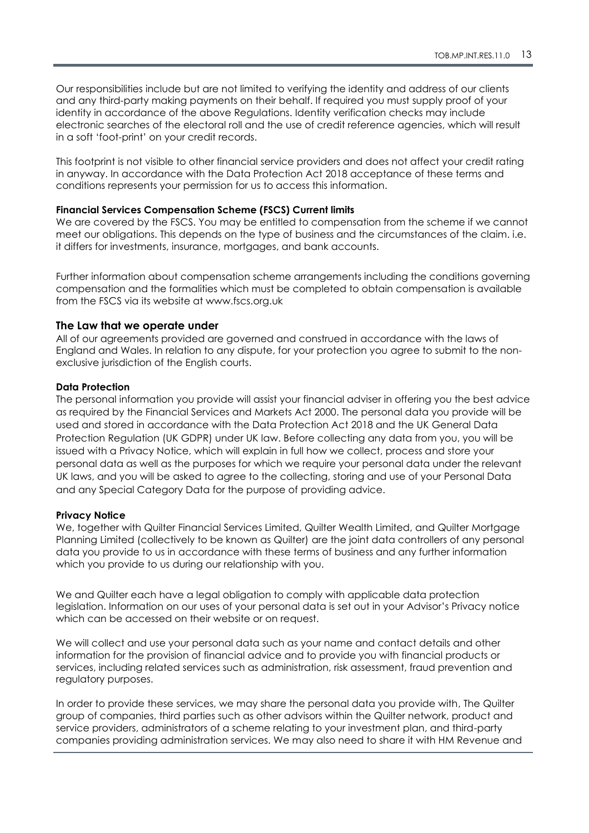Our responsibilities include but are not limited to verifying the identity and address of our clients and any third-party making payments on their behalf. If required you must supply proof of your identity in accordance of the above Regulations. Identity verification checks may include electronic searches of the electoral roll and the use of credit reference agencies, which will result in a soft 'foot-print' on your credit records.

This footprint is not visible to other financial service providers and does not affect your credit rating in anyway. In accordance with the Data Protection Act 2018 acceptance of these terms and conditions represents your permission for us to access this information.

#### **Financial Services Compensation Scheme (FSCS) Current limits**

We are covered by the FSCS. You may be entitled to compensation from the scheme if we cannot meet our obligations. This depends on the type of business and the circumstances of the claim. i.e. it differs for investments, insurance, mortgages, and bank accounts.

Further information about compensation scheme arrangements including the conditions governing compensation and the formalities which must be completed to obtain compensation is available from the FSCS via its website at www.fscs.org.uk

#### **The Law that we operate under**

All of our agreements provided are governed and construed in accordance with the laws of England and Wales. In relation to any dispute, for your protection you agree to submit to the nonexclusive jurisdiction of the English courts.

#### **Data Protection**

The personal information you provide will assist your financial adviser in offering you the best advice as required by the Financial Services and Markets Act 2000. The personal data you provide will be used and stored in accordance with the Data Protection Act 2018 and the UK General Data Protection Regulation (UK GDPR) under UK law. Before collecting any data from you, you will be issued with a Privacy Notice, which will explain in full how we collect, process and store your personal data as well as the purposes for which we require your personal data under the relevant UK laws, and you will be asked to agree to the collecting, storing and use of your Personal Data and any Special Category Data for the purpose of providing advice.

#### **Privacy Notice**

We, together with Quilter Financial Services Limited, Quilter Wealth Limited, and Quilter Mortgage Planning Limited (collectively to be known as Quilter) are the joint data controllers of any personal data you provide to us in accordance with these terms of business and any further information which you provide to us during our relationship with you.

We and Quilter each have a legal obligation to comply with applicable data protection legislation. Information on our uses of your personal data is set out in your Advisor's Privacy notice which can be accessed on their website or on request.

We will collect and use your personal data such as your name and contact details and other information for the provision of financial advice and to provide you with financial products or services, including related services such as administration, risk assessment, fraud prevention and regulatory purposes.

In order to provide these services, we may share the personal data you provide with, The Quilter group of companies, third parties such as other advisors within the Quilter network, product and service providers, administrators of a scheme relating to your investment plan, and third-party companies providing administration services. We may also need to share it with HM Revenue and